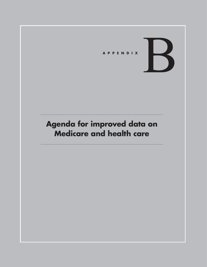

# **Agenda for improved data on Medicare and health care**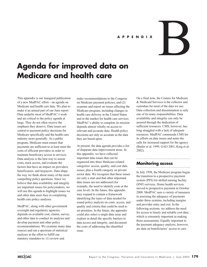#### **APPENDIX**

# **Agenda for improved data on Medicare and health care**

This appendix is our inaugural publication of a new MedPAC effort—an agenda on Medicare and health care data. We plan to make it an annual part of our June report. Data underlie most of MedPAC's work and are critical to the policy agenda at large. They do not often receive the emphasis they deserve. Data issues are central to payment policy decisions for Medicare specifically and the health care industry more generally. As a public program, Medicare must ensure that payments are sufficient to at least meet the costs of efficient providers in order to maintain beneficiary access to services. Data analysis is the best way to assess costs, track access, and evaluate the factors that have an impact on providers, beneficiaries, and taxpayers. Data shape the way we think about many of the most compelling policy questions. Since we believe that data availability and integrity are important issues for policymakers, we will use this agenda to highlight issues we and other data users face in completing health care policy analyses.

MedPAC, along with other government oversight and regulatory agencies, depends on available cost, claims, survey, and other data to conduct its analyses and develop payment and other policy recommendations. We examine many data sources and run a spectrum of statistical analyses in the effort to fulfill our statutory mandates to: (1) review and

make recommendations to the Congress on Medicare payment policies; and (2) examine and report on issues affecting the Medicare program, including changes in health care delivery in the United States and in the market for health care services. MedPAC's ability to complete its mission depends almost wholly on access to relevant and accurate data. Health policy decisions are only as accurate as the data they are based upon.

At present, the data agenda provides a list of disparate data improvement areas. In this appendix, we have collected important data issues that can be organized into three Medicare-related categories: access, quality, and cost data issues, plus a fourth category on private sector data. We recognize that these issues are only a start and that other important data issues are not addressed (for example, the need to identify costs at the case level). In the future, this appendix may expand to contain a framework identifying the types of data needed for sound policy analysis on costs, access, and quality and criteria that could be used to set priorities. In the future, the appendix could also select a single data issue and explore in detail the specific barriers to data access and integrity, and document the costs of addressing the identified issue.

On a final note, the Centers for Medicare & Medicaid Services is the collector and custodian for most of the data we use. Data collection and dissemination is only one of its many responsibilities. Data availability and integrity can only be assured through the dedication of sufficient resources. CMS, however, has long struggled with a lack of adequate resources. MedPAC commends CMS for its efforts on data issues and notes the calls for increased support for the agency (Butler et al. 1999, GAO 2001, King et al. 2002).

B

#### **Monitoring access**

In July 1998, the Medicare program began the transition to a prospective payment system (PPS) for skilled nursing facility (SNF) services. Home health services moved to prospective payment in October 2000. MedPAC uses a variety of measures in assessing the adequacy of payments under these systems, including margins and provider entry and exit. In the following sections, we address the need for access to timely and reliable cost data, which is extremely important in making these assessments. Equally important to the payment adequacy analysis, however, are data on beneficiaries' access to care.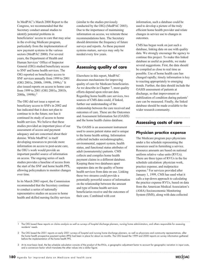In MedPAC's March 2000 Report to the Congress, we recommended that the Secretary conduct annual studies to identify potential problems in beneficiaries' access to care that may arise in the evolving Medicare program, particularly from the implementation of new payment systems in the various sectors (MedPAC 2000). For several years, the Department of Health and Human Services' Office of Inspector General (OIG) studied beneficiary access to SNF and home health services. The OIG reported on beneficiary access to SNF services annually from 1999 to 2001 (OIG 2001a, 2000b, 1999b, 1999c).<sup>1</sup> It also issued reports on access to home care from 1999 to 2001 (OIG 2001a, 2001b, 2000a, 1999b).2

The OIG did not issue a report on beneficiary access to SNFs in 2002 and has indicated that it does not plan to continue to in the future, nor has it continued its study of access to home health services. We believe that these studies provided an important piece of our assessment of access and payment adequacy and are concerned about their demise. While MedPAC is itself developing resources to provide more information on access to post-acute care, the OIG's work would provide an important parallel source of information on access. The ongoing series of such studies provides a baseline of access from the start of the SNF and home health PPS, allowing policymakers to monitor changes over time.

In its March 2003 report, the Commission recommended that the Secretary continue to conduct a series of nationally representative studies on access to home health and skilled nursing facility services (similar to the studies previously conducted by the OIG) (MedPAC 2003). Due to the importance of maintaining information on access, we reiterate those recommendations here. The Secretary should determine the frequency of future surveys and reports. As these payment systems mature, surveys may only be needed every few years.

## **Assessing quality of care**

Elsewhere in this report, MedPAC discusses mechanisms for improving quality of care for Medicare beneficiaries. As we describe in Chapter 7, most quality efforts depend upon relevant data. Regarding home health care services, two sources of CMS data could, if linked, further our understanding of the relationship between the care received and outcomes of care. These are the Outcomes and Assessment Information Set (OASIS) and the home health claims database.

The OASIS is an assessment instrument used to assess patient status and is unique to the home health setting. Information collected includes sociodemographic, environmental, support system, health status, and functional status attributes of adult (nonmaternity) patients. CMS collects and compiles home health payment claims in a different database. Keeping these two databases apart separates data on the quality of home health services from data on use. Linking these two streams could provide a potentially powerful source of information on the relationship between the amount and type of home health services beneficiaries receive and the outcomes of their care. Combined with cost

information, such a database could be used to develop a picture of the truly efficient home health provider and relate changes in service use to changes in outcomes.

CMS has begun work on just such a database, linking data on use with quality data. We strongly encourage the agency to continue this project. To make this linked database as useful as possible, we make several suggestions. First, the data should be compiled as close to real time as possible. Use of home health care has changed rapidly; timely information is key to reacting appropriately to emerging trends. Further, the data should include the OASIS assessment of patients at discharge, so that improvement or stabilization of condition during patients' care can be measured. Finally, the linked database should be made available to the wider research community.

### **Assessing costs of care**

#### **Physician practice expense**

The Medicare program pays physicians under a fee schedule representing the resources used in furnishing a service. Resource amounts are based on national uniform relative value units (RVUs). There are three types of RVUs in the fee schedule calculation: physician work, practice expense, and malpractice expense.<sup>3</sup> For services provided after January 1, 1999, CMS has used what it calls a top-down approach to calculating the practice expense RVUs, based on data from the American Medical Association's (AMA) Socioeconomic Monitoring System (SMS), along with data collected

1 The OIG based these reports on claims analysis as well as surveys of hospital discharge planners, nursing home administrators, and others responsible for assessing residents' needs.

2 The OIG based the 2001 reports on early 2001 surveys of hospital and nursing home discharge planners, as well as physicians and community representatives, after the home health prospective payment system (PPS) had been in place for about six months. The OIG based the 1999 and 2000 reports on survey information gathered before the implementation of the home health PPS.

3 At its most basic level, the fee schedule calculation consists of the product of the RVUs, a geographic adjustment factor to account for geographic variation in input costs, and a conversion factor which translates the other values into a dollar figure.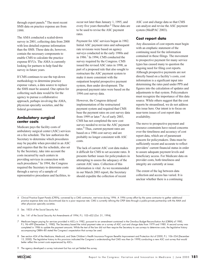through expert panels.4 The most recent SMS data on practice expense are from 1999.

The AMA conducted a scaled-down survey in 2001, collecting data from 2000 with less detailed expense information than the SMS. These data do, however, contain the necessary components to enable CMS to calculate the practice expense RVUs. The AMA is currently looking for partners to help fund the survey in future years.

If CMS continues to use the top-down methodology to determine practice expense values, a data source to replace the SMS must be assured. One option for collecting such data would be for the agency to pursue a collaborative approach, perhaps involving the AMA, physician specialty societies, and the federal government.

#### **Ambulatory surgical center costs**

Medicare pays the facility costs of ambulatory surgical center (ASC) services on a fee schedule. The law authorizes the Secretary to determine which procedures may be payable when provided in an ASC and requires that the fee schedule, also set by the Secretary, take into account the costs incurred by such centers in providing services in connection with such procedures.<sup>5</sup> In 1994, the Congress required the Secretary to determine costs through a survey of a sample of representative procedures and facilities, to

occur not later than January 1, 1995, and every five years thereafter.<sup>6</sup> These data are to be used to revise the ASC payment rates.

Payment for ASC services began in 1982. Initial ASC payment rates and subsequent rate revisions were based on agency surveys conducted in the early 1980s and in 1986.7 In 1994, CMS conducted the survey required by the Congress. CMS issued the revised ASC rates in 1998, as part of a proposed rule that also sought to restructure the ASC payment system to make it more consistent with the outpatient hospital prospective payment system, then under development. The proposed payment rates were based on the 1994 cost survey data.

However, the Congress delayed implementation of the restructured payment system and required that CMS base the payment rates on cost survey data from 1999 or later. $8$  As of early 2003, CMS has not completed the new cost survey needed to revise the ASC payment rates.<sup>9</sup> Thus, current payment rates are based on a 1986 cost survey and are probably no longer consistent with ASC costs.

The lack of current ASC cost data makes it difficult for CMS to set accurate rates. It presents further issues for policymakers in attempting to assess the adequacy of the current ASC rates. Collection of this information is vital. As we recommended in our March 2003 report, the Secretary should expedite the collection of recent

ASC cost and charge data so that CMS can analyze and revise the ASC payment system (MedPAC 2003).

#### **Cost report data**

Any discussion of cost reports must begin with an emphatic statement of the continuing need for the information contained in these filings. The movement to prospective payment for many service types has caused many to question the ongoing need for filing cost reports. Although prospective payments are not directly based on a facility's costs, cost information is a significant input into determining the rates paid under PPS and figures into the calculation of updates and adjustments to that system. Policymakers must recognize the importance of this data source. While others suggest that the cost reports be streamlined, we do not address this issue here. Our intent is to focus on near-term issues of cost report data availability.

The move to prospective payment and resource constraints have raised concerns over the timeliness and accuracy of cost report data, which are of paramount concern for policymakers. Data must be sufficiently recent and accurate to reflect providers' current financial status in order to assure adequate payment levels and beneficiary access. For Medicare data on provider costs, both timeliness and integrity are currently at issue.

The extent of the lag between data collection and access has varied. It is unclear whether there is a continuing

- 4 Clinical Practice Expert Panels (CPEPs), convened by a CMS contractor, met twice during 1996. A 1996 survey effort by the same contractor to gather additional practice expense data was discontinued due to a poor response rate. CMS is currently refining the CPEP data through a public-private partnership with the AMA and other physician specialty societies.
- 5 Sec. 1833i of the Social Security Act.
- 6 Sec. 141 of the Social Security Act Amendments of 1994, P.L. 103–432 (Oct. 31, 1994).
- 7 Medicare began paying for services provided in ASCs in 1982, pursuant to an amendment contained in the Omnibus Budget Reconciliation Act (OBRA) of 1980, P.L. 96–499 (December 5, 1980). The Secretary based the initial payment rates on a survey of ASC cost and charge data from 1979 and 1980. A second survey was completed in 1986 to update the payment amounts. While the text of the law did not then require the Secretary to use surveys to determine costs, the legislative history accompanying OBRA–80 stated the Congress's expectation that surveys be used.
- 8 See section 424 of the Medicare, Medicaid, and State Children's Health Insurance Program Benefits Improvement and Protection Act of 2000, P.L. 106–554 (December 15, 2000). The legislative history to this provision indicated the Congress's understanding that CMS was then (in 1999) conducting a new ASC cost survey that would better reflect the current costs experienced by ASCs.
- 9 The agency developed a survey instrument but has not yet fielded the survey.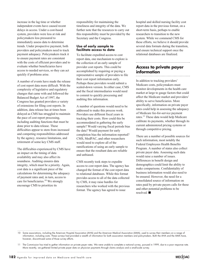10 Some associations, including the American Hospital Association (AHA) and the American Medical Association (AMA), used to survey their members on a range of information, including costs. These surveys had provided a wealth of information for both association members and policymakers. Both the AHA and the AMA have, however, discontinued some of those survey efforts.

11 The Commission has tried to gather information on private payer rates. We were unable to complete a national survey, pursued in 1999, due to a poor response rate. More recently, we gathered limited private payer data on physician payments through claims analysis and a small-scale survey.

**182** Agenda for improved data on Medicare and health care

increase in the lag time or whether independent events have caused recent delays in access. Under a cost-based system, providers were less at risk and policymakers less pressured to immediately assess data to determine trends. Under prospective payment, both providers and policymakers need to track payment adequacy. Policymakers track it to ensure payment rates are consistent with the costs of efficient providers and to evaluate whether beneficiaries have access to needed services, so they can act quickly if problems arise.

A number of events have made the release of cost report data more difficult. With the complexity of legislative and regulatory changes that came with and followed the Balanced Budget Act of 1997, the Congress has granted providers a variety of extensions for filing cost reports. In addition, data release has at times been delayed as CMS has struggled to maintain the pace of cost report processing, including auditing functions that must be done prior to data release. These difficulties appear to stem from increased and competing responsibilities addressed by the agency, resource limitations, and retirement of some key CMS staff.

The difficulties experienced by CMS have an impact on the timing of data availability and may also affect its soundness. Auditing ensures data integrity, which must be a priority. Again, cost data is a significant piece of the calculations for determining the adequacy of payment rates and, in turn, access to care for beneficiaries.10 We strongly encourage CMS to prioritize its

responsibility for maintaining the timeliness and integrity of the data. We further note that the resources to carry out this responsibility must be provided by the Secretary and the Congress.

#### **Use of early sample to facilitate access to data**

To facilitate expedited access to cost report data, one mechanism to explore is the collection of an early sample of provider cost reports. This could be accomplished by requiring or paying a representative sample of providers to file their cost report information early. Perhaps these providers would submit a scaled-down version. In either case, CMS and the fiscal intermediaries would need to commit to quickly processing and auditing this information.

A number of questions would need to be addressed to make this process work. Providers use different fiscal years in tracking their costs. How could this be accommodated in gathering the early sample? Would varying fiscal periods bias the data? Would payment for early completion bias the information reported? CMS, MedPAC, and other researchers would need to explore all of the ramifications of using an early sample to ensure that the resultant data are reliable and unbiased.

CMS recently took steps to expedite access to cost report data. The agency has changed the format of the cost report data to relational databases. While this format provides access to all of the data collected by CMS, it may raise hurdles for researchers who worked with the previous format. The agency has agreed to issue

hospital and skilled nursing facility cost report data in the previous format, on a short-term basis, perhaps to enable researchers to transition to the new system. While we commend CMS for these efforts, we believe it should provide several data formats during the transition, and ensure technical support once the relational databases are finalized.

#### **Access to private payer information**

In addition to tracking providers' Medicare costs, policymakers must monitor developments in the health care market at large to gauge factors that could affect the Medicare market and providers' ability to serve beneficiaries. More specifically, information on private payer rates could help in assessing the adequacy of Medicare fee-for-service payment rates.11 These data would help Medicare calibrate its payments, whether through its current administered pricing systems or through competitive pricing.

There are a number of possible sources for such information, most notably the Federal Employees Health Benefits Program. A number of states also collect private payer data. Assessing such data would raise a number of issues. Differences in benefit design and demographics could limit the ability to make comparisons. Confidentiality of business information would also need to be ensured. However, the need for a consolidated source of information on rates paid by private payers calls for these and other potential problems to be resolved.